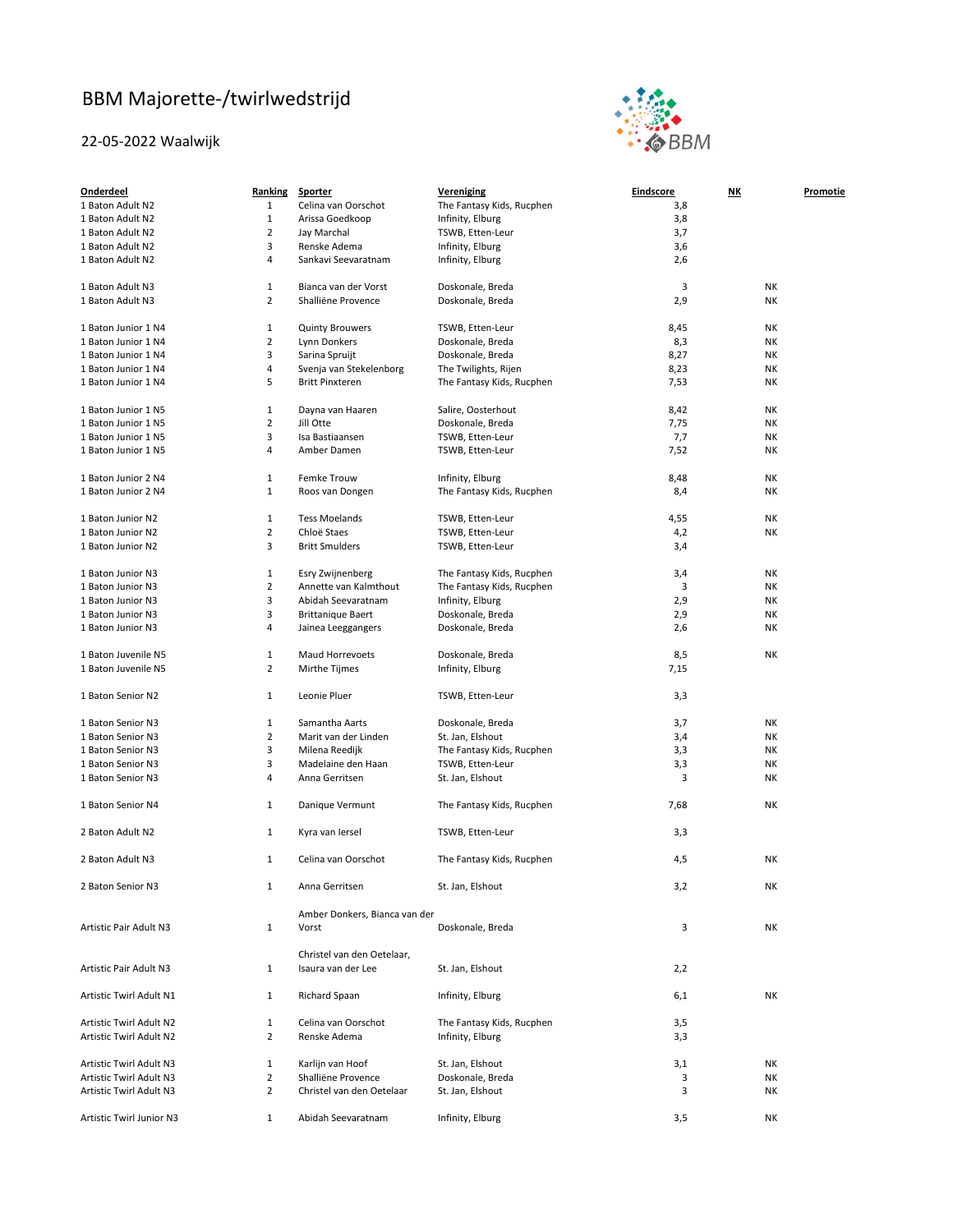## BBM Majorette‐/twirlwedstrijd

## 22‐05‐2022 Waalwijk



| <b>Onderdeel</b>         | Ranking        | Sporter                       | Vereniging                | <b>Eindscore</b> | <u>NK</u> | <b>Promotie</b> |
|--------------------------|----------------|-------------------------------|---------------------------|------------------|-----------|-----------------|
| 1 Baton Adult N2         | 1              | Celina van Oorschot           | The Fantasy Kids, Rucphen | 3,8              |           |                 |
| 1 Baton Adult N2         | $\mathbf 1$    | Arissa Goedkoop               | Infinity, Elburg          | 3,8              |           |                 |
| 1 Baton Adult N2         | $\overline{2}$ | Jay Marchal                   | TSWB, Etten-Leur          | 3,7              |           |                 |
| 1 Baton Adult N2         | 3              | Renske Adema                  | Infinity, Elburg          | 3,6              |           |                 |
| 1 Baton Adult N2         | 4              | Sankavi Seevaratnam           | Infinity, Elburg          | 2,6              |           |                 |
|                          |                |                               |                           |                  |           |                 |
| 1 Baton Adult N3         | 1              | Bianca van der Vorst          | Doskonale, Breda          | 3                | NΚ        |                 |
| 1 Baton Adult N3         | $\overline{2}$ | Shalliëne Provence            | Doskonale, Breda          | 2,9              | NΚ        |                 |
|                          |                |                               |                           |                  |           |                 |
| 1 Baton Junior 1 N4      | $\mathbf 1$    | <b>Quinty Brouwers</b>        | TSWB, Etten-Leur          | 8,45             | NΚ        |                 |
| 1 Baton Junior 1 N4      | $\overline{2}$ | Lynn Donkers                  | Doskonale, Breda          | 8,3              | NΚ        |                 |
| 1 Baton Junior 1 N4      | 3              | Sarina Spruijt                | Doskonale, Breda          | 8,27             | NΚ        |                 |
| 1 Baton Junior 1 N4      | 4              | Svenja van Stekelenborg       | The Twilights, Rijen      | 8,23             | NΚ        |                 |
| 1 Baton Junior 1 N4      | 5              | <b>Britt Pinxteren</b>        | The Fantasy Kids, Rucphen | 7,53             | NΚ        |                 |
|                          |                |                               |                           |                  |           |                 |
| 1 Baton Junior 1 N5      | $\mathbf 1$    | Dayna van Haaren              | Salire, Oosterhout        | 8,42             | NΚ        |                 |
| 1 Baton Junior 1 N5      | 2              | Jill Otte                     | Doskonale, Breda          | 7,75             | NΚ        |                 |
| 1 Baton Junior 1 N5      | 3              | Isa Bastiaansen               | TSWB, Etten-Leur          | 7,7              | NΚ        |                 |
| 1 Baton Junior 1 N5      | 4              | Amber Damen                   | TSWB, Etten-Leur          | 7,52             | NΚ        |                 |
|                          |                |                               |                           |                  |           |                 |
| 1 Baton Junior 2 N4      | 1              | Femke Trouw                   | Infinity, Elburg          | 8,48             | NΚ        |                 |
| 1 Baton Junior 2 N4      | $\mathbf 1$    | Roos van Dongen               | The Fantasy Kids, Rucphen | 8,4              | NΚ        |                 |
|                          |                |                               |                           |                  |           |                 |
| 1 Baton Junior N2        | $\mathbf{1}$   | <b>Tess Moelands</b>          | TSWB, Etten-Leur          | 4,55             | NΚ        |                 |
| 1 Baton Junior N2        | $\overline{2}$ | Chloë Staes                   | TSWB, Etten-Leur          | 4,2              | NΚ        |                 |
| 1 Baton Junior N2        | 3              | <b>Britt Smulders</b>         | TSWB, Etten-Leur          | 3,4              |           |                 |
|                          |                |                               |                           |                  |           |                 |
| 1 Baton Junior N3        | $\mathbf 1$    | Esry Zwijnenberg              | The Fantasy Kids, Rucphen | 3,4              | NΚ        |                 |
| 1 Baton Junior N3        | $\overline{2}$ | Annette van Kalmthout         | The Fantasy Kids, Rucphen | 3                | NΚ        |                 |
| 1 Baton Junior N3        | 3              | Abidah Seevaratnam            | Infinity, Elburg          | 2,9              | NΚ        |                 |
| 1 Baton Junior N3        | 3              | <b>Brittanique Baert</b>      | Doskonale, Breda          | 2,9              | NΚ        |                 |
| 1 Baton Junior N3        | 4              | Jainea Leeggangers            | Doskonale, Breda          | 2,6              | NΚ        |                 |
|                          |                |                               |                           |                  |           |                 |
| 1 Baton Juvenile N5      | $\mathbf 1$    | Maud Horrevoets               | Doskonale, Breda          | 8,5              | NΚ        |                 |
| 1 Baton Juvenile N5      | $\overline{2}$ | Mirthe Tijmes                 | Infinity, Elburg          | 7,15             |           |                 |
|                          |                |                               |                           |                  |           |                 |
| 1 Baton Senior N2        | $\mathbf{1}$   | Leonie Pluer                  | TSWB, Etten-Leur          | 3,3              |           |                 |
|                          |                |                               |                           |                  |           |                 |
| 1 Baton Senior N3        | 1              | Samantha Aarts                | Doskonale, Breda          | 3,7              | NΚ        |                 |
| 1 Baton Senior N3        | $\overline{2}$ | Marit van der Linden          | St. Jan, Elshout          | 3,4              | NΚ        |                 |
| 1 Baton Senior N3        | 3              | Milena Reedijk                | The Fantasy Kids, Rucphen | 3,3              | NΚ        |                 |
| 1 Baton Senior N3        | 3              | Madelaine den Haan            | TSWB, Etten-Leur          | 3,3              | NΚ        |                 |
|                          |                |                               |                           |                  |           |                 |
| 1 Baton Senior N3        | 4              | Anna Gerritsen                | St. Jan, Elshout          | 3                | NΚ        |                 |
| 1 Baton Senior N4        | 1              | Danique Vermunt               | The Fantasy Kids, Rucphen | 7,68             | NΚ        |                 |
|                          |                |                               |                           |                  |           |                 |
| 2 Baton Adult N2         | $\mathbf{1}$   | Kyra van Iersel               | TSWB, Etten-Leur          | 3,3              |           |                 |
|                          |                |                               |                           |                  |           |                 |
| 2 Baton Adult N3         | 1              | Celina van Oorschot           | The Fantasy Kids, Rucphen | 4,5              | NΚ        |                 |
|                          |                |                               |                           |                  |           |                 |
| 2 Baton Senior N3        | $\mathbf{1}$   | Anna Gerritsen                | St. Jan, Elshout          | 3,2              | NΚ        |                 |
|                          |                |                               |                           |                  |           |                 |
|                          |                | Amber Donkers, Bianca van der |                           |                  |           |                 |
| Artistic Pair Adult N3   | $\mathbf{1}$   | Vorst                         | Doskonale, Breda          | 3                | NΚ        |                 |
|                          |                |                               |                           |                  |           |                 |
|                          |                | Christel van den Oetelaar,    |                           |                  |           |                 |
| Artistic Pair Adult N3   | $\mathbf{1}$   | Isaura van der Lee            | St. Jan, Elshout          | 2,2              |           |                 |
|                          |                |                               |                           |                  |           |                 |
| Artistic Twirl Adult N1  | $\mathbf{1}$   | Richard Spaan                 | Infinity, Elburg          | 6,1              | NΚ        |                 |
|                          |                |                               |                           |                  |           |                 |
| Artistic Twirl Adult N2  | $\mathbf{1}$   | Celina van Oorschot           | The Fantasy Kids, Rucphen | 3,5              |           |                 |
| Artistic Twirl Adult N2  | $\overline{2}$ | Renske Adema                  | Infinity, Elburg          | 3,3              |           |                 |
|                          |                |                               |                           |                  |           |                 |
| Artistic Twirl Adult N3  | $\mathbf{1}$   | Karlijn van Hoof              | St. Jan, Elshout          | 3,1              | NΚ        |                 |
| Artistic Twirl Adult N3  | $\overline{2}$ | Shalliëne Provence            | Doskonale, Breda          | 3                | NΚ        |                 |
| Artistic Twirl Adult N3  | $\overline{2}$ | Christel van den Oetelaar     | St. Jan, Elshout          | 3                | NΚ        |                 |
|                          |                |                               |                           |                  |           |                 |
| Artistic Twirl Junior N3 | $\mathbf{1}$   | Abidah Seevaratnam            | Infinity, Elburg          | 3,5              | NΚ        |                 |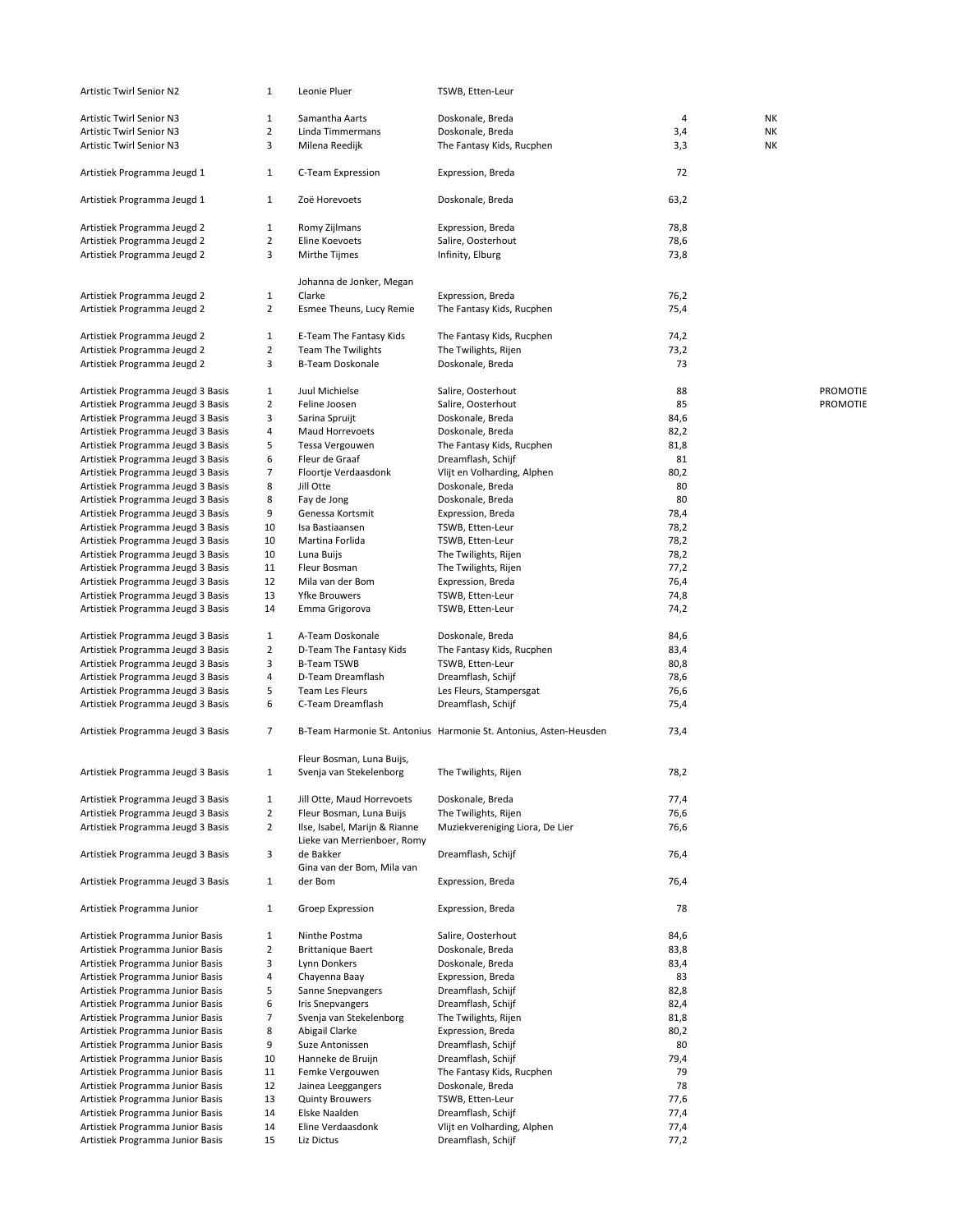| Artistic Twirl Senior N2                                               | $\mathbf{1}$                   | Leonie Pluer                                         | TSWB, Etten-Leur                                                  |              |           |                 |
|------------------------------------------------------------------------|--------------------------------|------------------------------------------------------|-------------------------------------------------------------------|--------------|-----------|-----------------|
| <b>Artistic Twirl Senior N3</b>                                        | $\mathbf{1}$                   | Samantha Aarts                                       | Doskonale, Breda                                                  | 4            | <b>NK</b> |                 |
| <b>Artistic Twirl Senior N3</b>                                        | $\overline{2}$                 | Linda Timmermans                                     | Doskonale, Breda                                                  | 3,4          | NΚ        |                 |
| <b>Artistic Twirl Senior N3</b>                                        | 3                              | Milena Reedijk                                       | The Fantasy Kids, Rucphen                                         | 3,3          | <b>NK</b> |                 |
| Artistiek Programma Jeugd 1                                            | $\mathbf{1}$                   | C-Team Expression                                    | Expression, Breda                                                 | 72           |           |                 |
| Artistiek Programma Jeugd 1                                            | $\mathbf{1}$                   | Zoë Horevoets                                        | Doskonale, Breda                                                  | 63,2         |           |                 |
| Artistiek Programma Jeugd 2                                            | $\mathbf{1}$                   | Romy Zijlmans                                        | Expression, Breda                                                 | 78,8         |           |                 |
| Artistiek Programma Jeugd 2                                            | $\overline{2}$                 | Eline Koevoets                                       | Salire, Oosterhout                                                | 78,6         |           |                 |
| Artistiek Programma Jeugd 2                                            | 3                              | Mirthe Tijmes                                        | Infinity, Elburg                                                  | 73,8         |           |                 |
|                                                                        |                                |                                                      |                                                                   |              |           |                 |
|                                                                        |                                | Johanna de Jonker, Megan                             |                                                                   |              |           |                 |
| Artistiek Programma Jeugd 2<br>Artistiek Programma Jeugd 2             | $\mathbf{1}$<br>$\overline{2}$ | Clarke<br>Esmee Theuns, Lucy Remie                   | Expression, Breda<br>The Fantasy Kids, Rucphen                    | 76,2<br>75,4 |           |                 |
|                                                                        |                                |                                                      |                                                                   |              |           |                 |
| Artistiek Programma Jeugd 2                                            | $\mathbf{1}$                   | E-Team The Fantasy Kids                              | The Fantasy Kids, Rucphen                                         | 74,2         |           |                 |
| Artistiek Programma Jeugd 2                                            | $\overline{2}$                 | <b>Team The Twilights</b>                            | The Twilights, Rijen                                              | 73,2         |           |                 |
| Artistiek Programma Jeugd 2                                            | 3                              | <b>B-Team Doskonale</b>                              | Doskonale, Breda                                                  | 73           |           |                 |
| Artistiek Programma Jeugd 3 Basis                                      | $\mathbf{1}$                   | Juul Michielse                                       | Salire, Oosterhout                                                | 88           |           | <b>PROMOTIE</b> |
| Artistiek Programma Jeugd 3 Basis                                      | $\overline{2}$                 | Feline Joosen                                        | Salire, Oosterhout                                                | 85           |           | <b>PROMOTIE</b> |
| Artistiek Programma Jeugd 3 Basis                                      | 3                              | Sarina Spruijt                                       | Doskonale, Breda                                                  | 84,6         |           |                 |
| Artistiek Programma Jeugd 3 Basis                                      | 4                              | Maud Horrevoets                                      | Doskonale, Breda                                                  | 82,2         |           |                 |
| Artistiek Programma Jeugd 3 Basis                                      | 5                              | Tessa Vergouwen                                      | The Fantasy Kids, Rucphen                                         | 81,8         |           |                 |
| Artistiek Programma Jeugd 3 Basis                                      | 6                              | Fleur de Graaf                                       | Dreamflash, Schijf                                                | 81           |           |                 |
| Artistiek Programma Jeugd 3 Basis                                      | 7                              | Floortje Verdaasdonk                                 | Vlijt en Volharding, Alphen                                       | 80,2         |           |                 |
| Artistiek Programma Jeugd 3 Basis                                      | 8                              | Jill Otte                                            | Doskonale, Breda                                                  | 80           |           |                 |
| Artistiek Programma Jeugd 3 Basis                                      | 8                              | Fay de Jong                                          | Doskonale, Breda                                                  | 80           |           |                 |
| Artistiek Programma Jeugd 3 Basis                                      | 9<br>10                        | Genessa Kortsmit<br>Isa Bastiaansen                  | Expression, Breda<br>TSWB, Etten-Leur                             | 78,4<br>78,2 |           |                 |
| Artistiek Programma Jeugd 3 Basis<br>Artistiek Programma Jeugd 3 Basis | 10                             | Martina Forlida                                      | TSWB, Etten-Leur                                                  | 78,2         |           |                 |
| Artistiek Programma Jeugd 3 Basis                                      | 10                             | Luna Buijs                                           | The Twilights, Rijen                                              | 78,2         |           |                 |
| Artistiek Programma Jeugd 3 Basis                                      | 11                             | Fleur Bosman                                         | The Twilights, Rijen                                              | 77,2         |           |                 |
| Artistiek Programma Jeugd 3 Basis                                      | 12                             | Mila van der Bom                                     | Expression, Breda                                                 | 76,4         |           |                 |
| Artistiek Programma Jeugd 3 Basis                                      | 13                             | <b>Yfke Brouwers</b>                                 | TSWB, Etten-Leur                                                  | 74,8         |           |                 |
| Artistiek Programma Jeugd 3 Basis                                      | 14                             | Emma Grigorova                                       | TSWB, Etten-Leur                                                  | 74,2         |           |                 |
| Artistiek Programma Jeugd 3 Basis                                      | $\mathbf{1}$                   | A-Team Doskonale                                     | Doskonale, Breda                                                  | 84,6         |           |                 |
| Artistiek Programma Jeugd 3 Basis                                      | $\overline{2}$                 | D-Team The Fantasy Kids                              | The Fantasy Kids, Rucphen                                         | 83,4         |           |                 |
| Artistiek Programma Jeugd 3 Basis                                      | 3                              | <b>B-Team TSWB</b>                                   | TSWB, Etten-Leur                                                  | 80,8         |           |                 |
| Artistiek Programma Jeugd 3 Basis                                      | 4                              | D-Team Dreamflash                                    | Dreamflash, Schijf                                                | 78,6         |           |                 |
| Artistiek Programma Jeugd 3 Basis                                      | 5                              | Team Les Fleurs                                      | Les Fleurs, Stampersgat                                           | 76,6         |           |                 |
| Artistiek Programma Jeugd 3 Basis                                      | 6                              | C-Team Dreamflash                                    | Dreamflash, Schijf                                                | 75,4         |           |                 |
| Artistiek Programma Jeugd 3 Basis                                      | 7                              |                                                      | B-Team Harmonie St. Antonius Harmonie St. Antonius, Asten-Heusden | 73,4         |           |                 |
| Artistiek Programma Jeugd 3 Basis                                      | $\mathbf{1}$                   | Fleur Bosman, Luna Buijs,<br>Svenja van Stekelenborg | The Twilights, Rijen                                              | 78,2         |           |                 |
| Artistiek Programma Jeugd 3 Basis                                      | $\mathbf{1}$                   | Jill Otte, Maud Horrevoets                           | Doskonale, Breda                                                  | 77,4         |           |                 |
| Artistiek Programma Jeugd 3 Basis                                      | $\overline{2}$                 | Fleur Bosman, Luna Buijs                             | The Twilights, Rijen                                              | 76,6         |           |                 |
| Artistiek Programma Jeugd 3 Basis                                      | $\overline{2}$                 | Ilse, Isabel, Marijn & Rianne                        | Muziekvereniging Liora, De Lier                                   | 76,6         |           |                 |
| Artistiek Programma Jeugd 3 Basis                                      | 3                              | Lieke van Merrienboer, Romy<br>de Bakker             | Dreamflash, Schijf                                                | 76,4         |           |                 |
|                                                                        |                                | Gina van der Bom, Mila van                           |                                                                   |              |           |                 |
| Artistiek Programma Jeugd 3 Basis                                      | $\mathbf{1}$                   | der Bom                                              | Expression, Breda                                                 | 76,4         |           |                 |
| Artistiek Programma Junior                                             | $\mathbf{1}$                   | Groep Expression                                     | Expression, Breda                                                 | 78           |           |                 |
| Artistiek Programma Junior Basis                                       | 1                              | Ninthe Postma                                        | Salire, Oosterhout                                                | 84,6         |           |                 |
| Artistiek Programma Junior Basis                                       | $\overline{2}$                 | <b>Brittanique Baert</b>                             | Doskonale, Breda                                                  | 83,8         |           |                 |
| Artistiek Programma Junior Basis                                       | 3                              | Lynn Donkers                                         | Doskonale, Breda                                                  | 83,4         |           |                 |
| Artistiek Programma Junior Basis                                       | 4                              | Chayenna Baay                                        | Expression, Breda                                                 | 83           |           |                 |
| Artistiek Programma Junior Basis                                       | 5                              | Sanne Snepvangers                                    | Dreamflash, Schijf                                                | 82,8         |           |                 |
| Artistiek Programma Junior Basis                                       | 6<br>$\overline{7}$            | <b>Iris Snepvangers</b>                              | Dreamflash, Schijf                                                | 82,4         |           |                 |
| Artistiek Programma Junior Basis<br>Artistiek Programma Junior Basis   | 8                              | Svenja van Stekelenborg<br>Abigail Clarke            | The Twilights, Rijen<br>Expression, Breda                         | 81,8<br>80,2 |           |                 |
| Artistiek Programma Junior Basis                                       | 9                              | Suze Antonissen                                      | Dreamflash, Schijf                                                | 80           |           |                 |
| Artistiek Programma Junior Basis                                       | 10                             | Hanneke de Bruijn                                    | Dreamflash, Schijf                                                | 79,4         |           |                 |
| Artistiek Programma Junior Basis                                       | 11                             | Femke Vergouwen                                      | The Fantasy Kids, Rucphen                                         | 79           |           |                 |
| Artistiek Programma Junior Basis                                       | 12                             | Jainea Leeggangers                                   | Doskonale, Breda                                                  | 78           |           |                 |
| Artistiek Programma Junior Basis                                       | 13                             | <b>Quinty Brouwers</b>                               | TSWB, Etten-Leur                                                  | 77,6         |           |                 |
| Artistiek Programma Junior Basis                                       | 14                             | Elske Naalden                                        | Dreamflash, Schijf                                                | 77,4         |           |                 |
| Artistiek Programma Junior Basis                                       | 14                             | Eline Verdaasdonk                                    | Vlijt en Volharding, Alphen                                       | 77,4         |           |                 |
| Artistiek Programma Junior Basis                                       | 15                             | Liz Dictus                                           | Dreamflash, Schijf                                                | 77,2         |           |                 |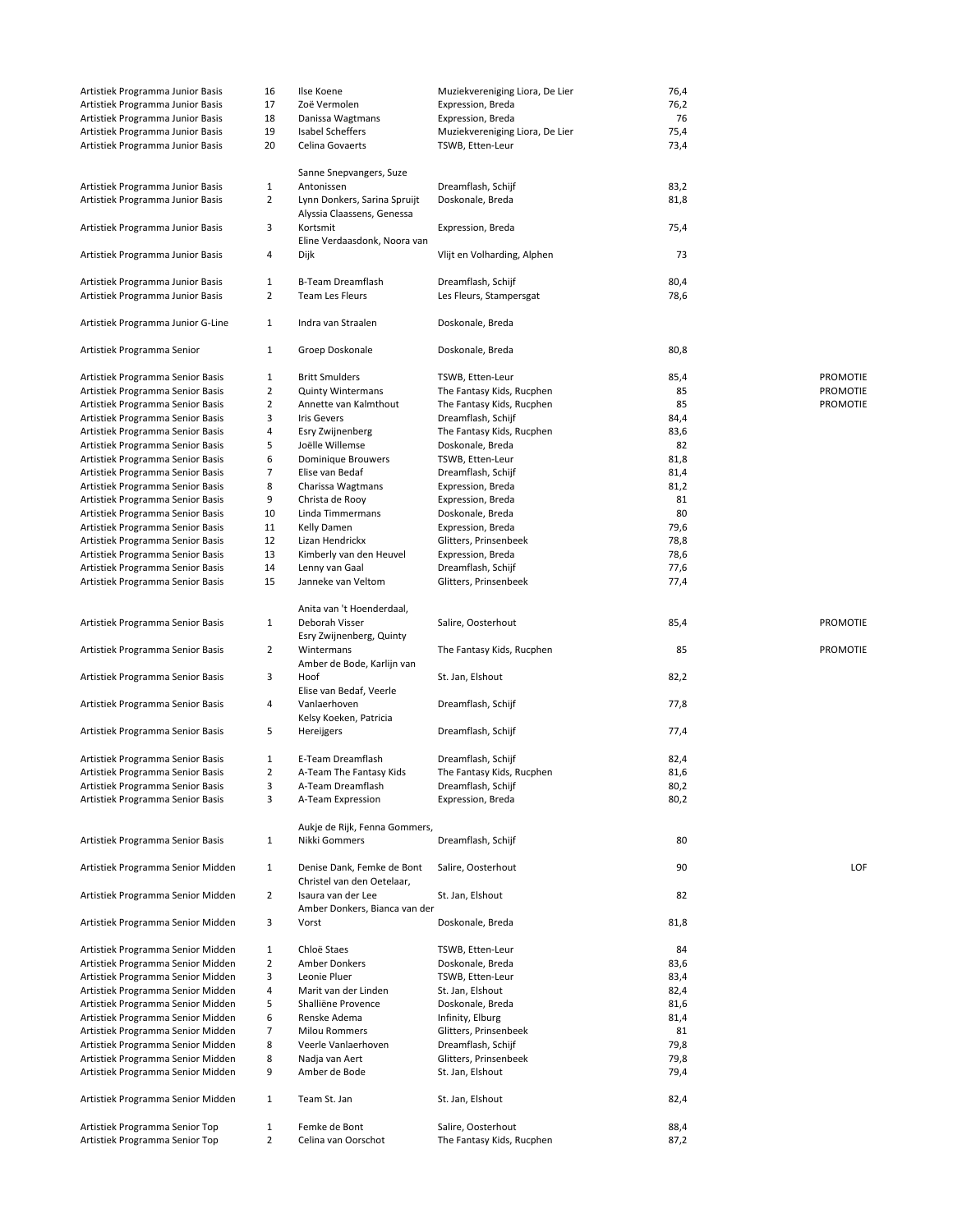| Artistiek Programma Junior Basis  | 16             | Ilse Koene                    | Muziekvereniging Liora, De Lier | 76,4 |                 |
|-----------------------------------|----------------|-------------------------------|---------------------------------|------|-----------------|
| Artistiek Programma Junior Basis  | 17             | Zoë Vermolen                  | Expression, Breda               | 76,2 |                 |
| Artistiek Programma Junior Basis  | 18             | Danissa Wagtmans              | Expression, Breda               | 76   |                 |
| Artistiek Programma Junior Basis  | 19             | Isabel Scheffers              | Muziekvereniging Liora, De Lier | 75,4 |                 |
| Artistiek Programma Junior Basis  | 20             | Celina Govaerts               | TSWB, Etten-Leur                | 73,4 |                 |
|                                   |                |                               |                                 |      |                 |
|                                   |                | Sanne Snepvangers, Suze       |                                 |      |                 |
| Artistiek Programma Junior Basis  | $\mathbf{1}$   | Antonissen                    | Dreamflash, Schijf              | 83,2 |                 |
| Artistiek Programma Junior Basis  | 2              | Lynn Donkers, Sarina Spruijt  | Doskonale, Breda                | 81,8 |                 |
|                                   |                | Alyssia Claassens, Genessa    |                                 |      |                 |
| Artistiek Programma Junior Basis  | 3              | Kortsmit                      | Expression, Breda               | 75,4 |                 |
|                                   |                | Eline Verdaasdonk, Noora van  |                                 |      |                 |
|                                   |                |                               | Vlijt en Volharding, Alphen     | 73   |                 |
| Artistiek Programma Junior Basis  | 4              | Dijk                          |                                 |      |                 |
|                                   |                |                               |                                 |      |                 |
| Artistiek Programma Junior Basis  | $\mathbf{1}$   | B-Team Dreamflash             | Dreamflash, Schijf              | 80,4 |                 |
| Artistiek Programma Junior Basis  | $\overline{2}$ | Team Les Fleurs               | Les Fleurs, Stampersgat         | 78,6 |                 |
|                                   |                |                               |                                 |      |                 |
| Artistiek Programma Junior G-Line | $\mathbf{1}$   | Indra van Straalen            | Doskonale, Breda                |      |                 |
|                                   |                |                               |                                 |      |                 |
| Artistiek Programma Senior        | 1              | Groep Doskonale               | Doskonale, Breda                | 80,8 |                 |
|                                   |                |                               |                                 |      |                 |
| Artistiek Programma Senior Basis  | $\mathbf{1}$   | <b>Britt Smulders</b>         | TSWB, Etten-Leur                | 85,4 | <b>PROMOTIE</b> |
| Artistiek Programma Senior Basis  | 2              | <b>Quinty Wintermans</b>      | The Fantasy Kids, Rucphen       | 85   | PROMOTIE        |
| Artistiek Programma Senior Basis  | $\overline{2}$ | Annette van Kalmthout         | The Fantasy Kids, Rucphen       | 85   | <b>PROMOTIE</b> |
| Artistiek Programma Senior Basis  | 3              | <b>Iris Gevers</b>            | Dreamflash, Schijf              | 84,4 |                 |
| Artistiek Programma Senior Basis  | 4              | Esry Zwijnenberg              | The Fantasy Kids, Rucphen       | 83,6 |                 |
| Artistiek Programma Senior Basis  | 5              | Joëlle Willemse               | Doskonale, Breda                | 82   |                 |
| Artistiek Programma Senior Basis  | 6              | Dominique Brouwers            | TSWB, Etten-Leur                | 81,8 |                 |
| Artistiek Programma Senior Basis  | $\overline{7}$ | Elise van Bedaf               | Dreamflash, Schijf              | 81,4 |                 |
|                                   |                |                               |                                 |      |                 |
| Artistiek Programma Senior Basis  | 8              | Charissa Wagtmans             | Expression, Breda               | 81,2 |                 |
| Artistiek Programma Senior Basis  | 9              | Christa de Rooy               | Expression, Breda               | 81   |                 |
| Artistiek Programma Senior Basis  | 10             | Linda Timmermans              | Doskonale, Breda                | 80   |                 |
| Artistiek Programma Senior Basis  | 11             | Kelly Damen                   | Expression, Breda               | 79,6 |                 |
| Artistiek Programma Senior Basis  | 12             | Lizan Hendrickx               | Glitters, Prinsenbeek           | 78,8 |                 |
| Artistiek Programma Senior Basis  | 13             | Kimberly van den Heuvel       | Expression, Breda               | 78,6 |                 |
| Artistiek Programma Senior Basis  | 14             | Lenny van Gaal                | Dreamflash, Schijf              | 77,6 |                 |
| Artistiek Programma Senior Basis  | 15             | Janneke van Veltom            | Glitters, Prinsenbeek           | 77,4 |                 |
|                                   |                |                               |                                 |      |                 |
|                                   |                |                               |                                 |      |                 |
|                                   |                | Anita van 't Hoenderdaal,     |                                 |      |                 |
| Artistiek Programma Senior Basis  | $\mathbf{1}$   | Deborah Visser                | Salire, Oosterhout              | 85,4 | <b>PROMOTIE</b> |
|                                   |                | Esry Zwijnenberg, Quinty      |                                 |      |                 |
| Artistiek Programma Senior Basis  | $\overline{2}$ | Wintermans                    | The Fantasy Kids, Rucphen       | 85   | PROMOTIE        |
|                                   |                | Amber de Bode, Karlijn van    |                                 |      |                 |
| Artistiek Programma Senior Basis  | 3              | Hoof                          | St. Jan, Elshout                | 82,2 |                 |
|                                   |                | Elise van Bedaf, Veerle       |                                 |      |                 |
|                                   |                |                               |                                 |      |                 |
| Artistiek Programma Senior Basis  | 4              | Vanlaerhoven                  | Dreamflash, Schijf              | 77,8 |                 |
|                                   |                | Kelsy Koeken, Patricia        |                                 |      |                 |
| Artistiek Programma Senior Basis  | 5              | Hereijgers                    | Dreamflash, Schijf              | 77,4 |                 |
|                                   |                |                               |                                 |      |                 |
| Artistiek Programma Senior Basis  | $\mathbf{1}$   | E-Team Dreamflash             | Dreamflash, Schijf              | 82,4 |                 |
| Artistiek Programma Senior Basis  | $\overline{2}$ | A-Team The Fantasy Kids       | The Fantasy Kids, Rucphen       | 81,6 |                 |
| Artistiek Programma Senior Basis  | 3              | A-Team Dreamflash             | Dreamflash, Schijf              | 80,2 |                 |
| Artistiek Programma Senior Basis  | 3              | A-Team Expression             | Expression, Breda               | 80,2 |                 |
|                                   |                |                               |                                 |      |                 |
|                                   |                | Aukje de Rijk, Fenna Gommers, |                                 |      |                 |
| Artistiek Programma Senior Basis  | $\mathbf{1}$   | Nikki Gommers                 | Dreamflash, Schijf              | 80   |                 |
|                                   |                |                               |                                 |      |                 |
|                                   |                |                               |                                 |      |                 |
| Artistiek Programma Senior Midden | 1              | Denise Dank, Femke de Bont    | Salire, Oosterhout              | 90   | LOF             |
|                                   |                | Christel van den Oetelaar,    |                                 |      |                 |
| Artistiek Programma Senior Midden | $\overline{2}$ | Isaura van der Lee            | St. Jan, Elshout                | 82   |                 |
|                                   |                | Amber Donkers, Bianca van der |                                 |      |                 |
| Artistiek Programma Senior Midden | 3              | Vorst                         | Doskonale, Breda                | 81,8 |                 |
|                                   |                |                               |                                 |      |                 |
| Artistiek Programma Senior Midden | 1              | Chloë Staes                   | TSWB, Etten-Leur                | 84   |                 |
| Artistiek Programma Senior Midden | $\overline{2}$ | Amber Donkers                 | Doskonale, Breda                | 83,6 |                 |
| Artistiek Programma Senior Midden | 3              | Leonie Pluer                  | TSWB, Etten-Leur                | 83,4 |                 |
|                                   | 4              | Marit van der Linden          | St. Jan, Elshout                | 82,4 |                 |
| Artistiek Programma Senior Midden |                |                               |                                 |      |                 |
| Artistiek Programma Senior Midden | 5              | Shalliëne Provence            | Doskonale, Breda                | 81,6 |                 |
| Artistiek Programma Senior Midden | 6              | Renske Adema                  | Infinity, Elburg                | 81,4 |                 |
| Artistiek Programma Senior Midden | $\overline{7}$ | <b>Milou Rommers</b>          | Glitters, Prinsenbeek           | 81   |                 |
| Artistiek Programma Senior Midden | 8              | Veerle Vanlaerhoven           | Dreamflash, Schijf              | 79,8 |                 |
| Artistiek Programma Senior Midden | 8              | Nadja van Aert                | Glitters, Prinsenbeek           | 79,8 |                 |
| Artistiek Programma Senior Midden | 9              | Amber de Bode                 | St. Jan, Elshout                | 79,4 |                 |
|                                   |                |                               |                                 |      |                 |
| Artistiek Programma Senior Midden | $\mathbf{1}$   | Team St. Jan                  | St. Jan, Elshout                | 82,4 |                 |
|                                   |                |                               |                                 |      |                 |
|                                   | $\mathbf{1}$   | Femke de Bont                 |                                 |      |                 |
| Artistiek Programma Senior Top    |                |                               | Salire, Oosterhout              | 88,4 |                 |
| Artistiek Programma Senior Top    | 2              | Celina van Oorschot           | The Fantasy Kids, Rucphen       | 87,2 |                 |